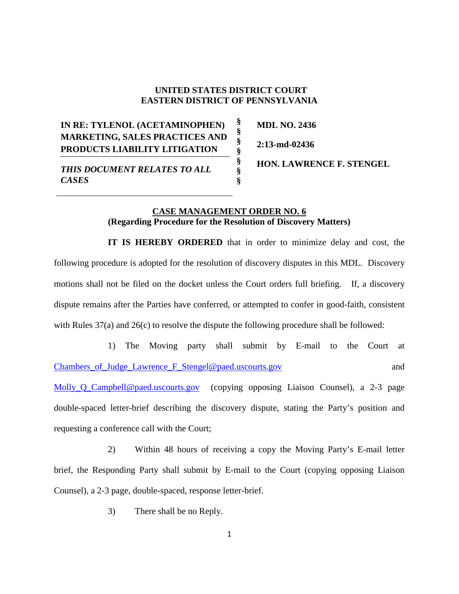## **UNITED STATES DISTRICT COURT EASTERN DISTRICT OF PENNSYLVANIA**

**§ § § § § § §**

## **IN RE: TYLENOL (ACETAMINOPHEN) MARKETING, SALES PRACTICES AND PRODUCTS LIABILITY LITIGATION**

**MDL NO. 2436 2:13-md-02436**

*THIS DOCUMENT RELATES TO ALL CASES*

**HON. LAWRENCE F. STENGEL**

## **CASE MANAGEMENT ORDER NO. 6 (Regarding Procedure for the Resolution of Discovery Matters)**

**IT IS HEREBY ORDERED** that in order to minimize delay and cost, the following procedure is adopted for the resolution of discovery disputes in this MDL. Discovery motions shall not be filed on the docket unless the Court orders full briefing. If, a discovery dispute remains after the Parties have conferred, or attempted to confer in good-faith, consistent with Rules 37(a) and 26(c) to resolve the dispute the following procedure shall be followed:

1) The Moving party shall submit by E-mail to the Court at [Chambers\\_of\\_Judge\\_Lawrence\\_F\\_Stengel@paed.uscourts.gov](mailto:Chambers_of_Judge_Lawrence_F_Stengel@paed.uscourts.gov) and and

Molly Q Campbell@paed.uscourts.gov (copying opposing Liaison Counsel), a 2-3 page double-spaced letter-brief describing the discovery dispute, stating the Party's position and requesting a conference call with the Court;

2) Within 48 hours of receiving a copy the Moving Party's E-mail letter brief, the Responding Party shall submit by E-mail to the Court (copying opposing Liaison Counsel), a 2-3 page, double-spaced, response letter-brief.

3) There shall be no Reply.